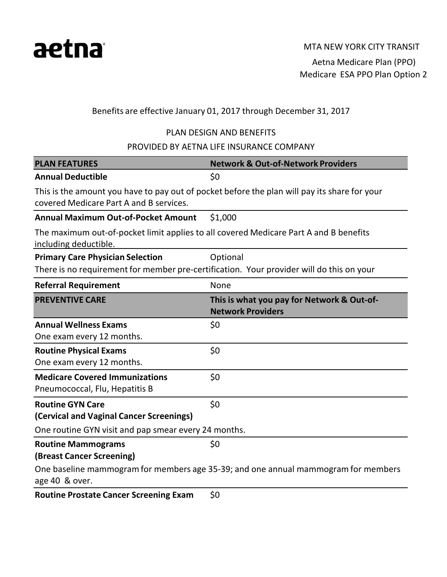

Aetna Medicare Plan (PPO) Medicare ESA PPO Plan Option 2

# Benefits are effective January 01, 2017 through December 31, 2017

# PLAN DESIGN AND BENEFITS

### PROVIDED BY AETNA LIFE INSURANCE COMPANY

| <b>PLAN FEATURES</b>                                                                                           | <b>Network &amp; Out-of-Network Providers</b>                                                |
|----------------------------------------------------------------------------------------------------------------|----------------------------------------------------------------------------------------------|
| <b>Annual Deductible</b>                                                                                       | \$0                                                                                          |
| covered Medicare Part A and B services.                                                                        | This is the amount you have to pay out of pocket before the plan will pay its share for your |
| <b>Annual Maximum Out-of-Pocket Amount</b>                                                                     | \$1,000                                                                                      |
| The maximum out-of-pocket limit applies to all covered Medicare Part A and B benefits<br>including deductible. |                                                                                              |
| <b>Primary Care Physician Selection</b>                                                                        | Optional                                                                                     |
| There is no requirement for member pre-certification. Your provider will do this on your                       |                                                                                              |
| <b>Referral Requirement</b>                                                                                    | None                                                                                         |
| <b>PREVENTIVE CARE</b>                                                                                         | This is what you pay for Network & Out-of-<br><b>Network Providers</b>                       |
| <b>Annual Wellness Exams</b>                                                                                   | \$0                                                                                          |
| One exam every 12 months.                                                                                      |                                                                                              |
| <b>Routine Physical Exams</b>                                                                                  | \$0                                                                                          |
| One exam every 12 months.                                                                                      |                                                                                              |
| <b>Medicare Covered Immunizations</b>                                                                          | \$0                                                                                          |
| Pneumococcal, Flu, Hepatitis B                                                                                 |                                                                                              |
| <b>Routine GYN Care</b>                                                                                        | \$0                                                                                          |
| (Cervical and Vaginal Cancer Screenings)                                                                       |                                                                                              |
| One routine GYN visit and pap smear every 24 months.                                                           |                                                                                              |
| <b>Routine Mammograms</b>                                                                                      | \$0                                                                                          |
| (Breast Cancer Screening)                                                                                      |                                                                                              |
| age 40 & over.                                                                                                 | One baseline mammogram for members age 35-39; and one annual mammogram for members           |
| Deutine Drestate Canser Corporating Evers                                                                      | ċη                                                                                           |

**Routine Prostate Cancer Screening Exam** \$0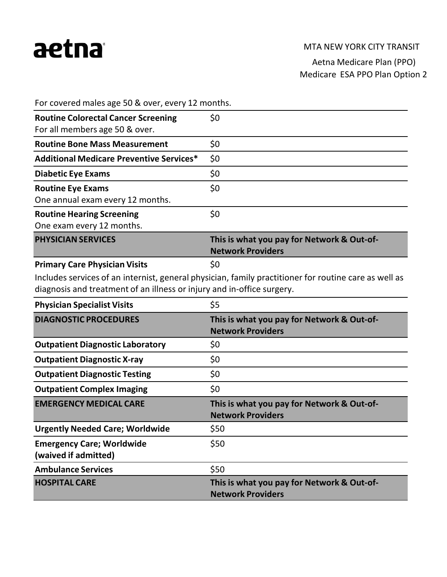# aetna

#### MTA NEW YORK CITY TRANSIT

Aetna Medicare Plan (PPO) Medicare ESA PPO Plan Option 2

For covered males age 50 & over, every 12 months.

| <b>Routine Colorectal Cancer Screening</b>      | \$0                                        |
|-------------------------------------------------|--------------------------------------------|
| For all members age 50 & over.                  |                                            |
|                                                 |                                            |
| <b>Routine Bone Mass Measurement</b>            | \$0                                        |
| <b>Additional Medicare Preventive Services*</b> | \$0                                        |
| <b>Diabetic Eye Exams</b>                       | \$0                                        |
| <b>Routine Eye Exams</b>                        | \$0                                        |
| One annual exam every 12 months.                |                                            |
| <b>Routine Hearing Screening</b>                | \$0                                        |
| One exam every 12 months.                       |                                            |
|                                                 |                                            |
| <b>PHYSICIAN SERVICES</b>                       | This is what you pay for Network & Out-of- |
|                                                 | <b>Network Providers</b>                   |
| <b>Primary Care Physician Visits</b>            | \$0                                        |

Includes services of an internist, general physician, family practitioner for routine care as well as diagnosis and treatment of an illness or injury and in-office surgery.

| <b>Physician Specialist Visits</b>                       | \$5                                                                    |
|----------------------------------------------------------|------------------------------------------------------------------------|
| <b>DIAGNOSTIC PROCEDURES</b>                             | This is what you pay for Network & Out-of-<br><b>Network Providers</b> |
| <b>Outpatient Diagnostic Laboratory</b>                  | \$0                                                                    |
| <b>Outpatient Diagnostic X-ray</b>                       | \$0                                                                    |
| <b>Outpatient Diagnostic Testing</b>                     | \$0                                                                    |
| <b>Outpatient Complex Imaging</b>                        | \$0                                                                    |
|                                                          |                                                                        |
| <b>EMERGENCY MEDICAL CARE</b>                            | This is what you pay for Network & Out-of-<br><b>Network Providers</b> |
| <b>Urgently Needed Care; Worldwide</b>                   | \$50                                                                   |
| <b>Emergency Care; Worldwide</b><br>(waived if admitted) | \$50                                                                   |
| <b>Ambulance Services</b>                                | \$50                                                                   |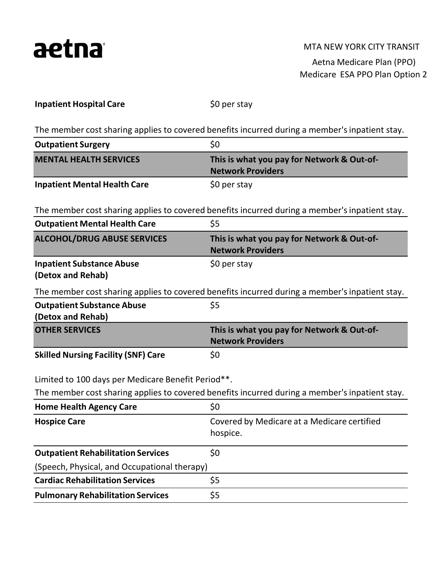

#### MTA NEW YORK CITY TRANSIT

Aetna Medicare Plan (PPO) Medicare ESA PPO Plan Option 2

|  | <b>Inpatient Hospital Care</b> |  |
|--|--------------------------------|--|
|  |                                |  |

\$0 per stay

The member cost sharing applies to covered benefits incurred during a member's inpatient stay.

| <b>Outpatient Surgery</b>           | \$0                                                                    |
|-------------------------------------|------------------------------------------------------------------------|
| <b>MENTAL HEALTH SERVICES</b>       | This is what you pay for Network & Out-of-<br><b>Network Providers</b> |
| <b>Inpatient Mental Health Care</b> | \$0 per stay                                                           |

The member cost sharing applies to covered benefits incurred during a member's inpatient stay.

| <b>Outpatient Mental Health Care</b>               | \$5                                                                                            |
|----------------------------------------------------|------------------------------------------------------------------------------------------------|
| <b>ALCOHOL/DRUG ABUSE SERVICES</b>                 | This is what you pay for Network & Out-of-<br><b>Network Providers</b>                         |
| <b>Inpatient Substance Abuse</b>                   | \$0 per stay                                                                                   |
| (Detox and Rehab)                                  |                                                                                                |
|                                                    | The member cost sharing applies to covered benefits incurred during a member's inpatient stay. |
| <b>Outpatient Substance Abuse</b>                  | \$5                                                                                            |
| (Detox and Rehab)                                  |                                                                                                |
| <b>OTHER SERVICES</b>                              | This is what you pay for Network & Out-of-                                                     |
|                                                    | <b>Network Providers</b>                                                                       |
| <b>Skilled Nursing Facility (SNF) Care</b>         | \$0                                                                                            |
|                                                    |                                                                                                |
| Limited to 100 days per Medicare Benefit Period**. |                                                                                                |
|                                                    | The member cost sharing applies to covered benefits incurred during a member's inpatient stay. |
| <b>Home Health Agency Care</b>                     | \$0                                                                                            |
| <b>Hospice Care</b>                                | Covered by Medicare at a Medicare certified                                                    |
|                                                    | hospice.                                                                                       |
| <b>Outpatient Rehabilitation Services</b>          | \$0                                                                                            |
| (Speech, Physical, and Occupational therapy)       |                                                                                                |
| <b>Cardiac Rehabilitation Services</b>             | \$5                                                                                            |
| <b>Pulmonary Rehabilitation Services</b>           | \$5                                                                                            |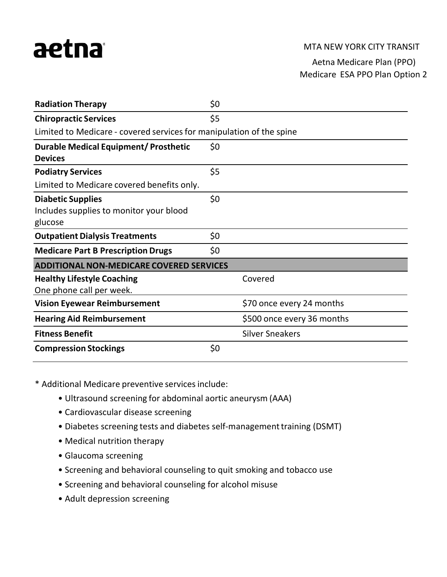# aetna

### MTA NEW YORK CITY TRANSIT

# Aetna Medicare Plan (PPO) Medicare ESA PPO Plan Option 2

| <b>Radiation Therapy</b>                                             | \$0 |                            |  |
|----------------------------------------------------------------------|-----|----------------------------|--|
| <b>Chiropractic Services</b>                                         | \$5 |                            |  |
| Limited to Medicare - covered services for manipulation of the spine |     |                            |  |
| <b>Durable Medical Equipment/ Prosthetic</b>                         | \$0 |                            |  |
| <b>Devices</b>                                                       |     |                            |  |
| <b>Podiatry Services</b>                                             | \$5 |                            |  |
| Limited to Medicare covered benefits only.                           |     |                            |  |
| <b>Diabetic Supplies</b>                                             | \$0 |                            |  |
| Includes supplies to monitor your blood                              |     |                            |  |
| glucose                                                              |     |                            |  |
| <b>Outpatient Dialysis Treatments</b>                                | \$0 |                            |  |
| <b>Medicare Part B Prescription Drugs</b>                            | \$0 |                            |  |
| <b>ADDITIONAL NON-MEDICARE COVERED SERVICES</b>                      |     |                            |  |
| <b>Healthy Lifestyle Coaching</b>                                    |     | Covered                    |  |
| One phone call per week.                                             |     |                            |  |
| <b>Vision Eyewear Reimbursement</b>                                  |     | \$70 once every 24 months  |  |
| <b>Hearing Aid Reimbursement</b>                                     |     | \$500 once every 36 months |  |
| <b>Fitness Benefit</b>                                               |     | <b>Silver Sneakers</b>     |  |
| <b>Compression Stockings</b>                                         | \$0 |                            |  |

\* Additional Medicare preventive servicesinclude:

- Ultrasound screening for abdominal aortic aneurysm (AAA)
- Cardiovascular disease screening
- Diabetes screening tests and diabetes self-management training (DSMT)
- Medical nutrition therapy
- Glaucoma screening
- Screening and behavioral counseling to quit smoking and tobacco use
- Screening and behavioral counseling for alcohol misuse
- Adult depression screening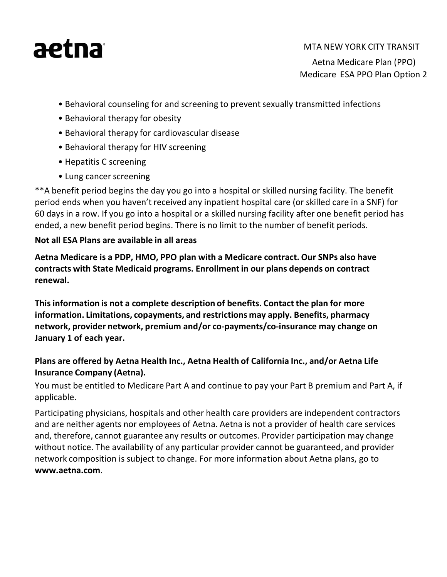# aetna

### MTA NEW YORK CITY TRANSIT

Aetna Medicare Plan (PPO) Medicare ESA PPO Plan Option 2

- Behavioral counseling for and screening to prevent sexually transmitted infections
- Behavioral therapy for obesity
- Behavioral therapy for cardiovascular disease
- Behavioral therapy for HIV screening
- Hepatitis C screening
- Lung cancer screening

\*\*A benefit period begins the day you go into a hospital or skilled nursing facility. The benefit period ends when you haven't received any inpatient hospital care (or skilled care in a SNF) for 60 days in a row. If you go into a hospital or a skilled nursing facility after one benefit period has ended, a new benefit period begins. There is no limit to the number of benefit periods.

# **Not all ESA Plans are available in all areas**

**Aetna Medicare is a PDP, HMO, PPO plan with a Medicare contract. Our SNPs also have contracts with State Medicaid programs. Enrollmentin our plans depends on contract renewal.**

**This information is not a complete description of benefits. Contact the plan for more information. Limitations, copayments, and restrictions may apply. Benefits, pharmacy network, provider network, premium and/or co-payments/co-insurance may change on January 1 of each year.**

# **Plans are offered by Aetna Health Inc., Aetna Health of California Inc., and/or Aetna Life Insurance Company (Aetna).**

You must be entitled to Medicare Part A and continue to pay your Part B premium and Part A, if applicable.

Participating physicians, hospitals and other health care providers are independent contractors and are neither agents nor employees of Aetna. Aetna is not a provider of health care services and, therefore, cannot guarantee any results or outcomes. Provider participation may change without notice. The availability of any particular provider cannot be guaranteed, and provider network composition is subject to change. For more information about Aetna plans, go to **[www.aetna.com](http://www.aetna.com/)**.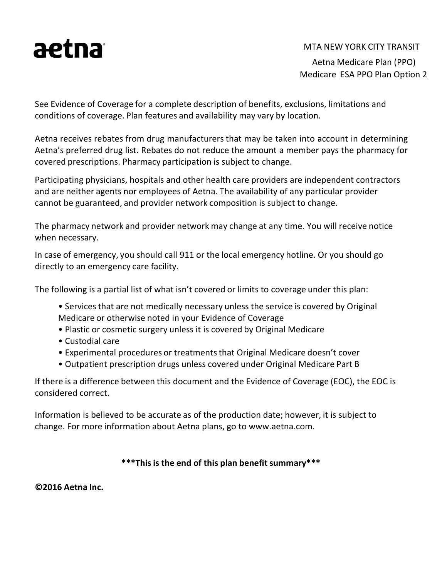

#### MTA NEW YORK CITY TRANSIT

Aetna Medicare Plan (PPO) Medicare ESA PPO Plan Option 2

See Evidence of Coverage for a complete description of benefits, exclusions, limitations and conditions of coverage. Plan features and availability may vary by location.

Aetna receives rebates from drug manufacturers that may be taken into account in determining Aetna's preferred drug list. Rebates do not reduce the amount a member pays the pharmacy for covered prescriptions. Pharmacy participation is subject to change.

Participating physicians, hospitals and other health care providers are independent contractors and are neither agents nor employees of Aetna. The availability of any particular provider cannot be guaranteed, and provider network composition is subject to change.

The pharmacy network and provider network may change at any time. You will receive notice when necessary.

In case of emergency, you should call 911 or the local emergency hotline. Or you should go directly to an emergency care facility.

The following is a partial list of what isn't covered or limits to coverage under this plan:

- Services that are not medically necessary unless the service is covered by Original Medicare or otherwise noted in your Evidence of Coverage
- Plastic or cosmetic surgery unless it is covered by Original Medicare
- Custodial care
- Experimental procedures or treatments that Original Medicare doesn't cover
- Outpatient prescription drugs unless covered under Original Medicare Part B

If there is a difference between this document and the Evidence of Coverage (EOC), the EOC is considered correct.

Information is believed to be accurate as of the production date; however, it is subject to change. For more information about Aetna [plans, go to www.aetna.com.](http://www.aetna.com/)

### **\*\*\*Thisis the end of this plan benefitsummary\*\*\***

**©2016 Aetna Inc.**